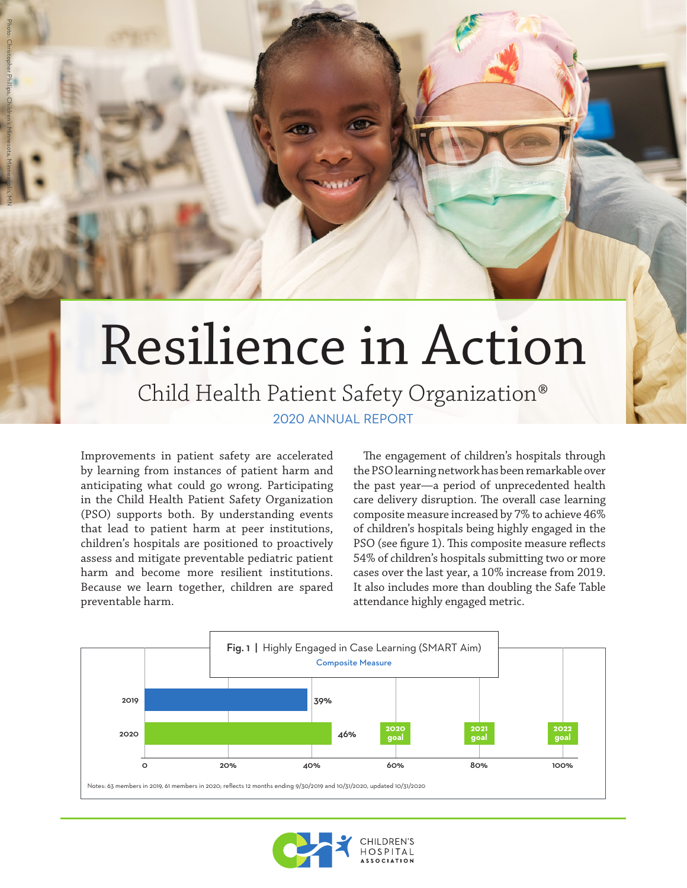# Resilience in Action

## 2020 ANNUAL REPORT Child Health Patient Safety Organization®

Improvements in patient safety are accelerated by learning from instances of patient harm and anticipating what could go wrong. Participating in the Child Health Patient Safety Organization (PSO) supports both. By understanding events that lead to patient harm at peer institutions, children's hospitals are positioned to proactively assess and mitigate preventable pediatric patient harm and become more resilient institutions. Because we learn together, children are spared preventable harm.

The engagement of children's hospitals through the PSO learning network has been remarkable over the past year—a period of unprecedented health care delivery disruption. The overall case learning composite measure increased by 7% to achieve 46% of children's hospitals being highly engaged in the PSO (see figure 1). This composite measure reflects 54% of children's hospitals submitting two or more cases over the last year, a 10% increase from 2019. It also includes more than doubling the Safe Table attendance highly engaged metric.